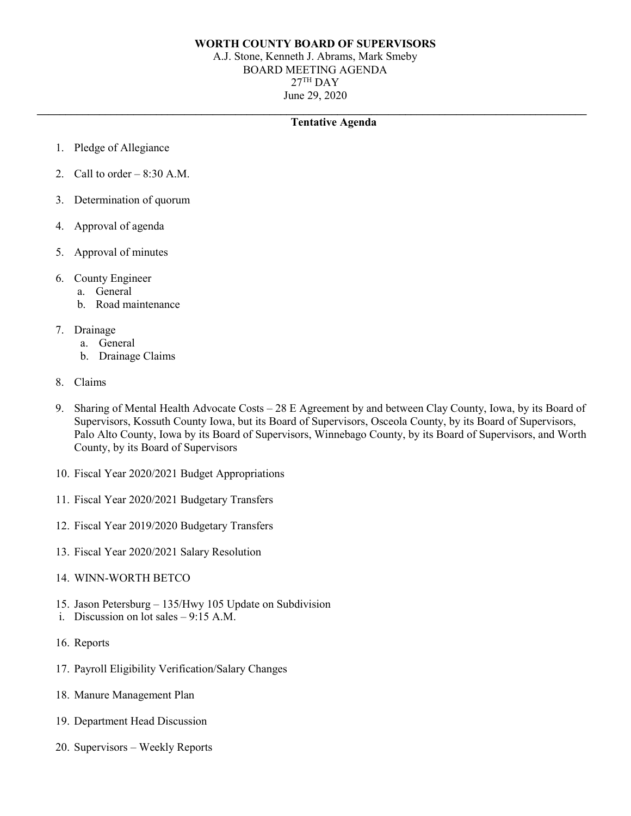### **WORTH COUNTY BOARD OF SUPERVISORS**

A.J. Stone, Kenneth J. Abrams, Mark Smeby BOARD MEETING AGENDA  $27<sup>TH</sup>$  DAY June 29, 2020

**\_\_\_\_\_\_\_\_\_\_\_\_\_\_\_\_\_\_\_\_\_\_\_\_\_\_\_\_\_\_\_\_\_\_\_\_\_\_\_\_\_\_\_\_\_\_\_\_\_\_\_\_\_\_\_\_\_\_\_\_\_\_\_\_\_\_\_\_\_\_\_\_\_\_\_\_\_\_\_\_\_\_\_\_\_\_\_\_\_\_\_\_\_\_\_\_\_**

## **Tentative Agenda**

- 1. Pledge of Allegiance
- 2. Call to order  $-8:30$  A.M.
- 3. Determination of quorum
- 4. Approval of agenda
- 5. Approval of minutes
- 6. County Engineer
	- a. General
	- b. Road maintenance
- 7. Drainage
	- a. General
	- b. Drainage Claims
- 8. Claims
- 9. Sharing of Mental Health Advocate Costs 28 E Agreement by and between Clay County, Iowa, by its Board of Supervisors, Kossuth County Iowa, but its Board of Supervisors, Osceola County, by its Board of Supervisors, Palo Alto County, Iowa by its Board of Supervisors, Winnebago County, by its Board of Supervisors, and Worth County, by its Board of Supervisors
- 10. Fiscal Year 2020/2021 Budget Appropriations
- 11. Fiscal Year 2020/2021 Budgetary Transfers
- 12. Fiscal Year 2019/2020 Budgetary Transfers
- 13. Fiscal Year 2020/2021 Salary Resolution
- 14. WINN-WORTH BETCO
- 15. Jason Petersburg 135/Hwy 105 Update on Subdivision
- i. Discussion on lot sales 9:15 A.M.
- 16. Reports
- 17. Payroll Eligibility Verification/Salary Changes
- 18. Manure Management Plan
- 19. Department Head Discussion
- 20. Supervisors Weekly Reports